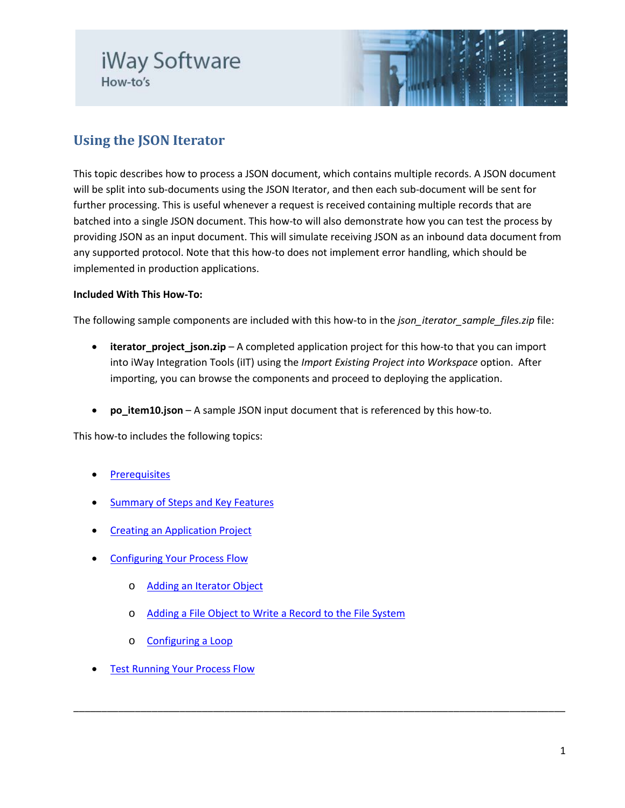# iWay Software How-to's



## **Using the JSON Iterator**

This topic describes how to process a JSON document, which contains multiple records. A JSON document will be split into sub-documents using the JSON Iterator, and then each sub-document will be sent for further processing. This is useful whenever a request is received containing multiple records that are batched into a single JSON document. This how-to will also demonstrate how you can test the process by providing JSON as an input document. This will simulate receiving JSON as an inbound data document from any supported protocol. Note that this how-to does not implement error handling, which should be implemented in production applications.

### **Included With This How-To:**

The following sample components are included with this how-to in the *json* iterator sample files.zip file:

• **iterator\_project\_json.zip** – A completed application project for this how-to that you can import into iWay Integration Tools (iIT) using the *Import Existing Project into Workspace* option. After importing, you can browse the components and proceed to deploying the application.

\_\_\_\_\_\_\_\_\_\_\_\_\_\_\_\_\_\_\_\_\_\_\_\_\_\_\_\_\_\_\_\_\_\_\_\_\_\_\_\_\_\_\_\_\_\_\_\_\_\_\_\_\_\_\_\_\_\_\_\_\_\_\_\_\_\_\_\_\_\_\_\_\_\_\_\_\_\_\_\_\_\_\_\_\_\_\_\_

• **po\_item10.json** – A sample JSON input document that is referenced by this how-to.

This how-to includes the following topics:

- **[Prerequisites](#page-1-0)**
- [Summary of Steps and Key Features](#page-1-1)
- [Creating an Application Project](#page-1-2)
- **[Configuring Your Process Flow](#page-3-0)** 
	- o [Adding an Iterator Object](#page-4-0)
	- o [Adding a File Object to Write a Record to the File System](#page-6-0)
	- o [Configuring a Loop](#page-7-0)
- **[Test Running Your Process Flow](#page-8-0)**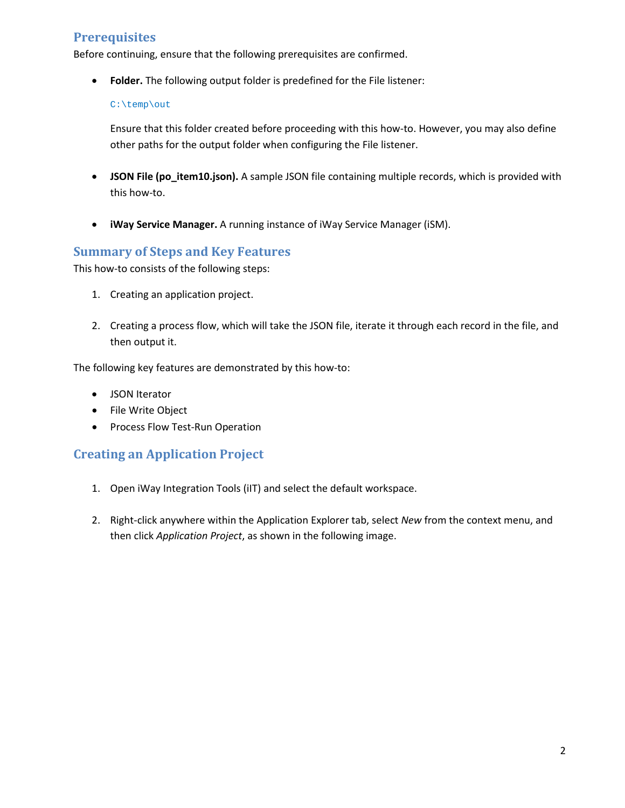### <span id="page-1-0"></span>**Prerequisites**

Before continuing, ensure that the following prerequisites are confirmed.

• **Folder.** The following output folder is predefined for the File listener:

#### C:\temp\out

Ensure that this folder created before proceeding with this how-to. However, you may also define other paths for the output folder when configuring the File listener.

- **JSON File (po\_item10.json).** A sample JSON file containing multiple records, which is provided with this how-to.
- **iWay Service Manager.** A running instance of iWay Service Manager (iSM).

### <span id="page-1-1"></span>**Summary of Steps and Key Features**

This how-to consists of the following steps:

- 1. Creating an application project.
- 2. Creating a process flow, which will take the JSON file, iterate it through each record in the file, and then output it.

The following key features are demonstrated by this how-to:

- JSON Iterator
- File Write Object
- Process Flow Test-Run Operation

### <span id="page-1-2"></span>**Creating an Application Project**

- 1. Open iWay Integration Tools (iIT) and select the default workspace.
- 2. Right-click anywhere within the Application Explorer tab, select *New* from the context menu, and then click *Application Project*, as shown in the following image.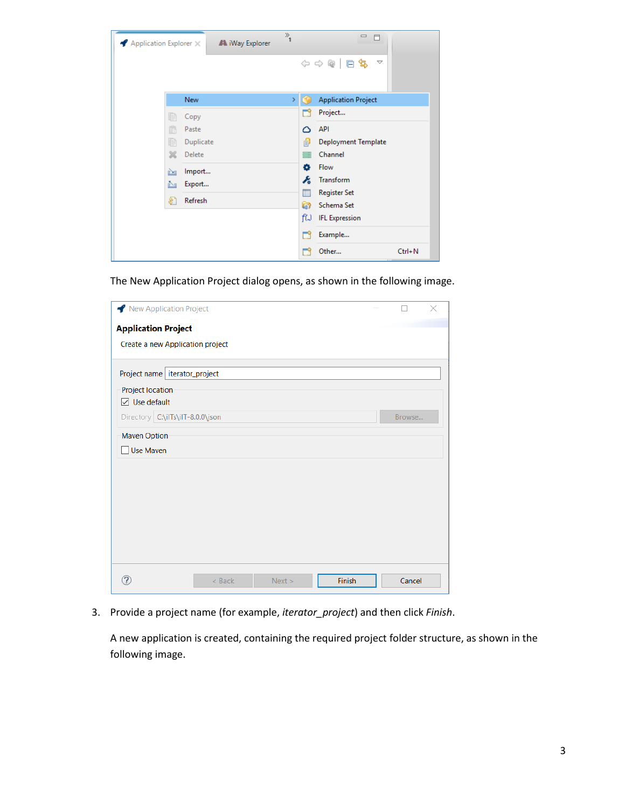| $\blacktriangle$ Application Explorer $\times$ | A iWay Explorer | $\frac{1}{1}$ | $\equiv$<br>$\Box$          |  |
|------------------------------------------------|-----------------|---------------|-----------------------------|--|
|                                                |                 |               | ◆ → @   日乌<br>v             |  |
|                                                | <b>New</b>      | Y.            | <b>Application Project</b>  |  |
| 目                                              | Copy            |               | Project<br>M                |  |
| ß                                              | Paste           |               | API<br>۵                    |  |
| le                                             | Duplicate       |               | 皍<br>Deployment Template    |  |
| Ж                                              | Delete          |               | Channel<br>≡                |  |
| 函                                              | Import          |               | ۰<br>Flow                   |  |
| Ņ,                                             | Export          |               | Æ<br>Transform              |  |
| \$.                                            | Refresh         |               | Ħ<br><b>Register Set</b>    |  |
|                                                |                 |               | a<br>Schema Set             |  |
|                                                |                 |               | fW<br><b>IFL Expression</b> |  |
|                                                |                 |               | Example<br>m                |  |
|                                                |                 |               | $Ctrl + N$<br>Other         |  |

The New Application Project dialog opens, as shown in the following image.

| New Application Project                  |        | × |
|------------------------------------------|--------|---|
| <b>Application Project</b>               |        |   |
| Create a new Application project         |        |   |
|                                          |        |   |
| Project name   iterator_project          |        |   |
| Project location                         |        |   |
| $\boxed{\smash{\triangle} }$ Use default |        |   |
| Directory C:\ilTs\ilT-8.0.0\json         | Browse |   |
| <b>Maven Option</b>                      |        |   |
| Use Maven                                |        |   |
|                                          |        |   |
|                                          |        |   |
|                                          |        |   |
|                                          |        |   |
|                                          |        |   |
|                                          |        |   |
|                                          |        |   |
|                                          |        |   |
| Finish<br>$<$ Back<br>Next >             | Cancel |   |

3. Provide a project name (for example, *iterator\_project*) and then click *Finish*.

A new application is created, containing the required project folder structure, as shown in the following image.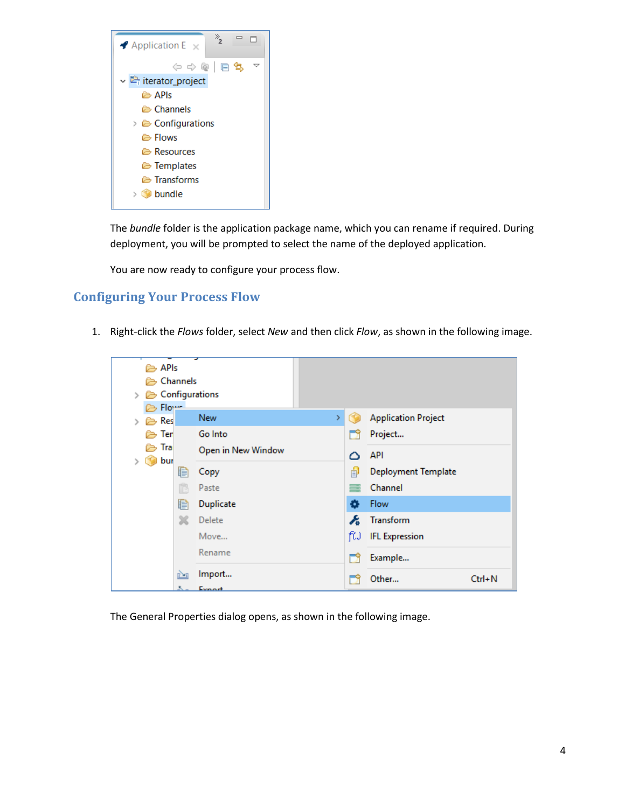

The *bundle* folder is the application package name, which you can rename if required. During deployment, you will be prompted to select the name of the deployed application.

You are now ready to configure your process flow.

### <span id="page-3-0"></span>**Configuring Your Process Flow**

1. Right-click the *Flows* folder, select *New* and then click *Flow*, as shown in the following image.



The General Properties dialog opens, as shown in the following image.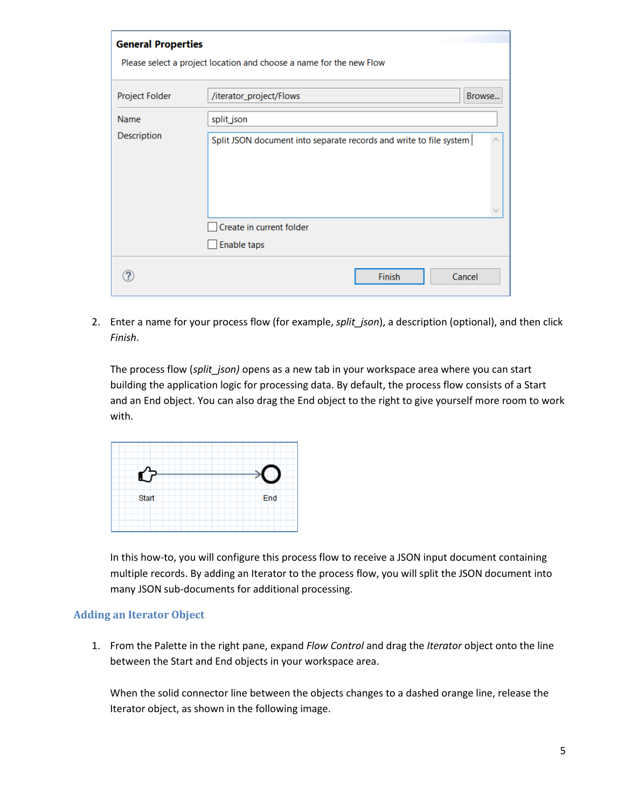| <b>General Properties</b> |                                                                     |  |  |  |
|---------------------------|---------------------------------------------------------------------|--|--|--|
|                           | Please select a project location and choose a name for the new Flow |  |  |  |
|                           |                                                                     |  |  |  |
| Project Folder            | /iterator_project/Flows<br>Browse                                   |  |  |  |
| Name                      | split_json                                                          |  |  |  |
| Description               | Split JSON document into separate records and write to file system  |  |  |  |
|                           | Create in current folder                                            |  |  |  |
|                           | Enable taps                                                         |  |  |  |
|                           | Finish<br>Cancel                                                    |  |  |  |

2. Enter a name for your process flow (for example, *split\_json*), a description (optional), and then click *Finish*.

The process flow (*split\_json)* opens as a new tab in your workspace area where you can start building the application logic for processing data. By default, the process flow consists of a Start and an End object. You can also drag the End object to the right to give yourself more room to work with.



In this how-to, you will configure this process flow to receive a JSON input document containing multiple records. By adding an Iterator to the process flow, you will split the JSON document into many JSON sub-documents for additional processing.

### <span id="page-4-0"></span>**Adding an Iterator Object**

1. From the Palette in the right pane, expand *Flow Control* and drag the *Iterator* object onto the line between the Start and End objects in your workspace area.

When the solid connector line between the objects changes to a dashed orange line, release the Iterator object, as shown in the following image.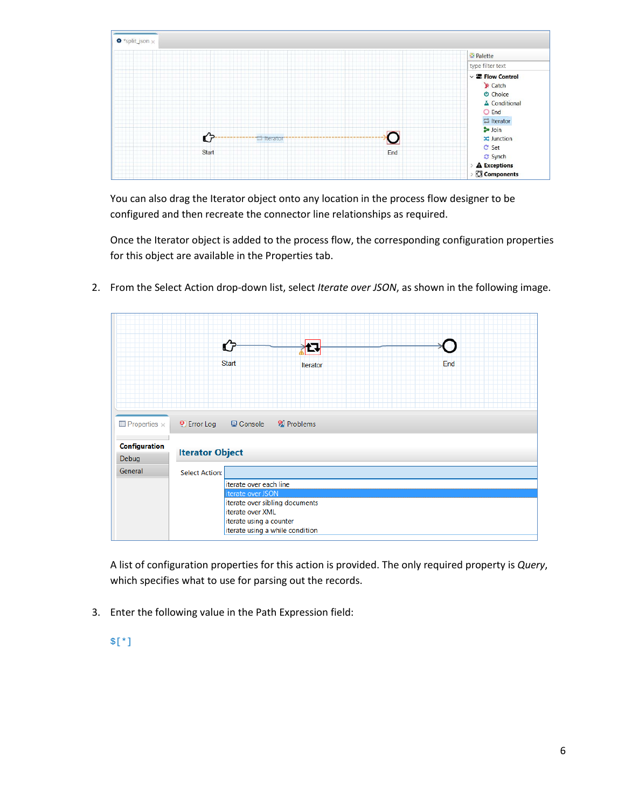

You can also drag the Iterator object onto any location in the process flow designer to be configured and then recreate the connector line relationships as required.

Once the Iterator object is added to the process flow, the corresponding configuration properties for this object are available in the Properties tab.

- ଫ 12 **Start** End **Iterator**  $\blacksquare$  Properties  $\times$ <sup>O</sup> Error Log **□** Console <sup>2</sup> Problems **Configuration Iterator Object** Debug General **Select Action:** iterate over each line iterate over sibling documents iterate over XML iterate using a counter iterate using a while condition
- 2. From the Select Action drop-down list, select *Iterate over JSON*, as shown in the following image.

A list of configuration properties for this action is provided. The only required property is *Query*, which specifies what to use for parsing out the records.

- 3. Enter the following value in the Path Expression field:
	- \$[\*]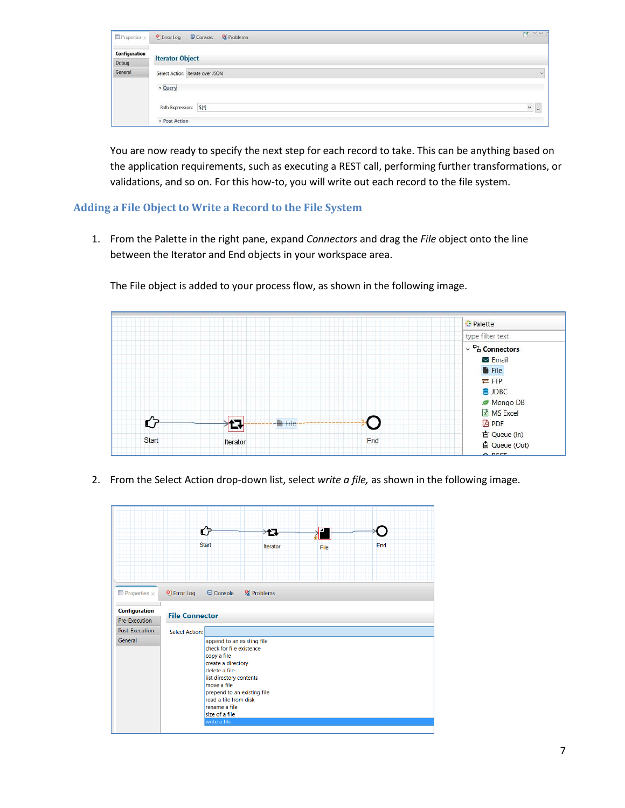| $\Box$ Properties $\times$ | <sup>2</sup> Problems<br>$\Theta$ Error Log<br>Console | FR V. H.     |
|----------------------------|--------------------------------------------------------|--------------|
| Configuration<br>Debug     | <b>Iterator Object</b>                                 |              |
| General                    | Select Action: iterate over JSON                       | $\checkmark$ |
|                            | - Query                                                |              |
|                            | Path Expression: \$[*]<br>Post Action                  | $\sim$ $-$   |

You are now ready to specify the next step for each record to take. This can be anything based on the application requirements, such as executing a REST call, performing further transformations, or validations, and so on. For this how-to, you will write out each record to the file system.

### <span id="page-6-0"></span>**Adding a File Object to Write a Record to the File System**

1. From the Palette in the right pane, expand *Connectors* and drag the *File* object onto the line between the Iterator and End objects in your workspace area.

The File object is added to your process flow, as shown in the following image.



2. From the Select Action drop-down list, select *write a file,* as shown in the following image.

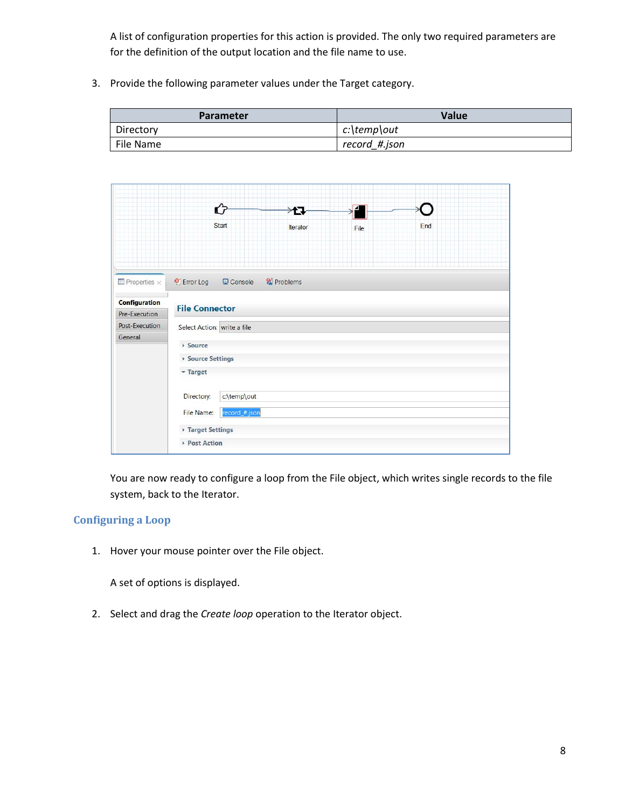A list of configuration properties for this action is provided. The only two required parameters are for the definition of the output location and the file name to use.

3. Provide the following parameter values under the Target category.

| <b>Parameter</b> | <b>Value</b>  |  |
|------------------|---------------|--|
| Directory        | c:\temp\out   |  |
| File Name        | record #.json |  |



You are now ready to configure a loop from the File object, which writes single records to the file system, back to the Iterator.

### <span id="page-7-0"></span>**Configuring a Loop**

1. Hover your mouse pointer over the File object.

A set of options is displayed.

2. Select and drag the *Create loop* operation to the Iterator object.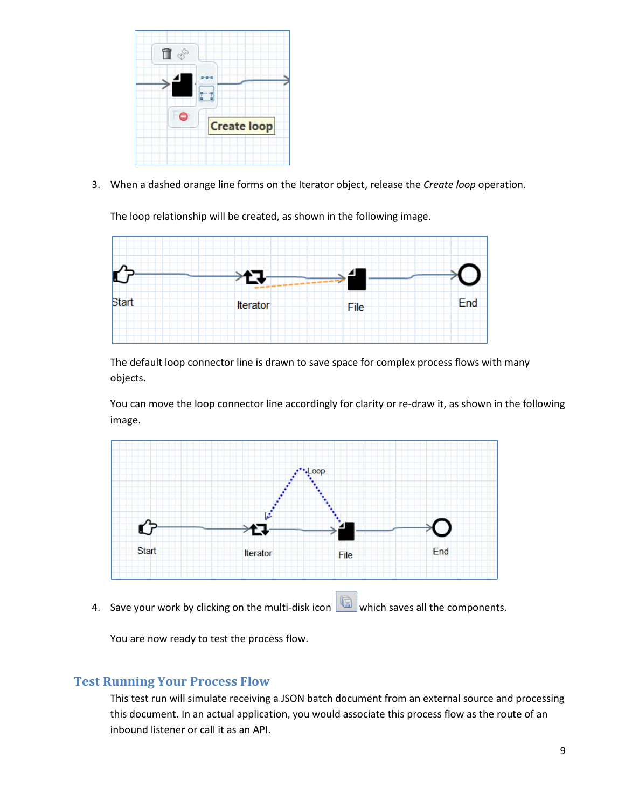

3. When a dashed orange line forms on the Iterator object, release the *Create loop* operation.

The loop relationship will be created, as shown in the following image.



The default loop connector line is drawn to save space for complex process flows with many objects.

You can move the loop connector line accordingly for clarity or re-draw it, as shown in the following image.



4. Save your work by clicking on the multi-disk icon which saves all the components.

You are now ready to test the process flow.

### <span id="page-8-0"></span>**Test Running Your Process Flow**

This test run will simulate receiving a JSON batch document from an external source and processing this document. In an actual application, you would associate this process flow as the route of an inbound listener or call it as an API.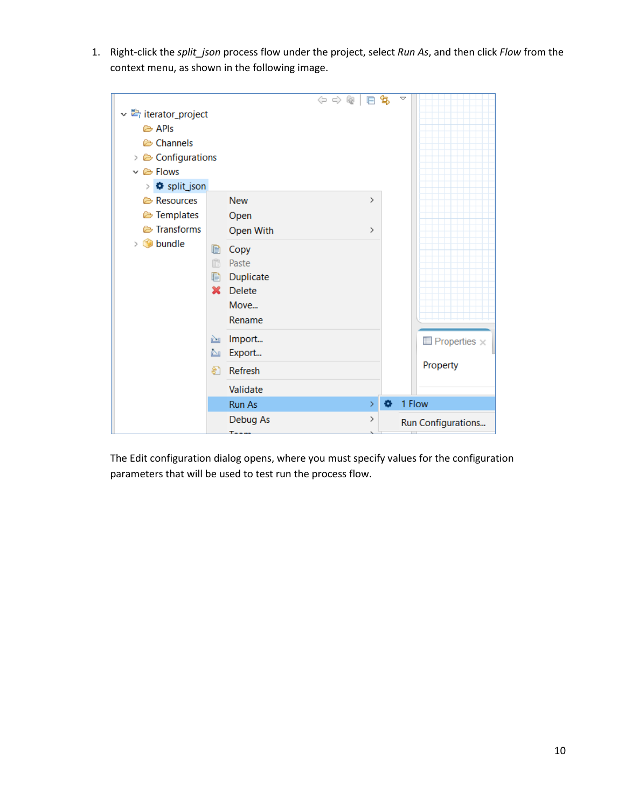1. Right-click the *split\_json* process flow under the project, select *Run As*, and then click *Flow* from the context menu, as shown in the following image.



The Edit configuration dialog opens, where you must specify values for the configuration parameters that will be used to test run the process flow.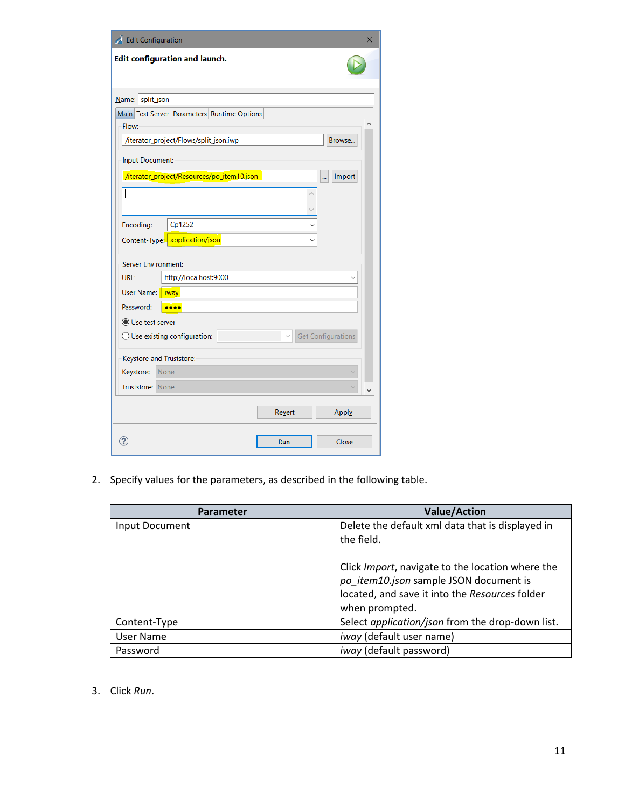| Edit Configuration         |                                             |        |                           |
|----------------------------|---------------------------------------------|--------|---------------------------|
|                            | <b>Edit configuration and launch.</b>       |        |                           |
| Name: split_json           |                                             |        |                           |
|                            | Main Test Server Parameters Runtime Options |        |                           |
| Flow:                      |                                             |        |                           |
|                            | /iterator_project/Flows/split_json.iwp      |        | Browse                    |
| <b>Input Document:</b>     |                                             |        |                           |
|                            | /iterator_project/Resources/po_item10.json  |        | Import<br>                |
|                            |                                             |        |                           |
|                            |                                             |        |                           |
|                            | Cp1252                                      |        |                           |
| Encoding:                  |                                             |        |                           |
|                            | Content-Type: application/json              |        |                           |
| <b>Server Environment:</b> |                                             |        |                           |
| URL:                       | http://localhost:9000                       |        |                           |
| User Name:   iway          |                                             |        |                           |
| Password:                  |                                             |        |                           |
| ◯ Use test server          |                                             |        |                           |
|                            | $\bigcirc$ Use existing configuration:      |        | <b>Get Configurations</b> |
|                            |                                             |        |                           |
|                            | Keystore and Truststore:<br><b>None</b>     |        |                           |
| Keystore:                  |                                             |        |                           |
| Truststore: None           |                                             |        |                           |
|                            |                                             | Revert | Apply                     |
|                            |                                             |        |                           |

2. Specify values for the parameters, as described in the following table.

| <b>Parameter</b> | <b>Value/Action</b>                                                                                                                                                    |
|------------------|------------------------------------------------------------------------------------------------------------------------------------------------------------------------|
| Input Document   | Delete the default xml data that is displayed in<br>the field.                                                                                                         |
|                  | Click <i>Import</i> , navigate to the location where the<br>po item10.json sample JSON document is<br>located, and save it into the Resources folder<br>when prompted. |
| Content-Type     | Select application/json from the drop-down list.                                                                                                                       |
| User Name        | iway (default user name)                                                                                                                                               |
| Password         | <i>iway</i> (default password)                                                                                                                                         |

3. Click *Run*.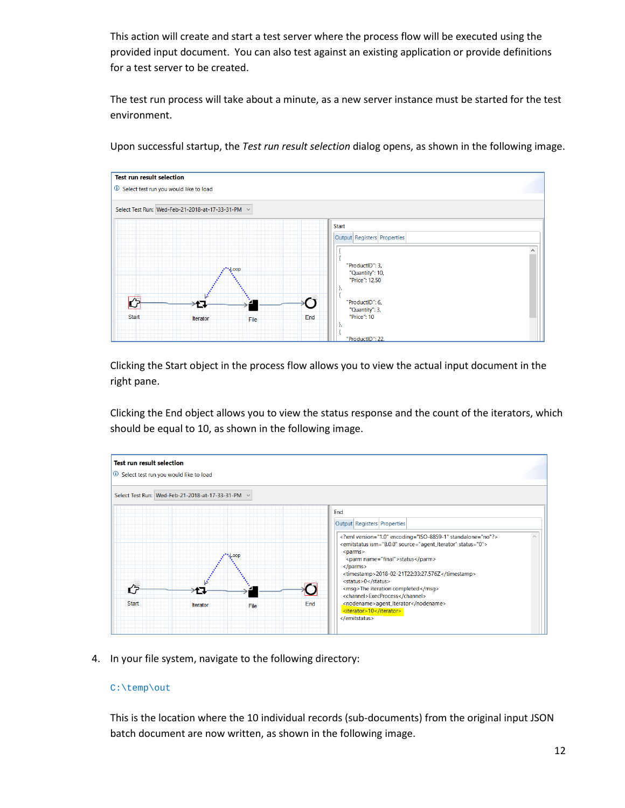This action will create and start a test server where the process flow will be executed using the provided input document. You can also test against an existing application or provide definitions for a test server to be created.

The test run process will take about a minute, as a new server instance must be started for the test environment.



Upon successful startup, the *Test run result selection* dialog opens, as shown in the following image.

Clicking the Start object in the process flow allows you to view the actual input document in the right pane.

Clicking the End object allows you to view the status response and the count of the iterators, which should be equal to 10, as shown in the following image.



4. In your file system, navigate to the following directory:

#### C:\temp\out

This is the location where the 10 individual records (sub-documents) from the original input JSON batch document are now written, as shown in the following image.